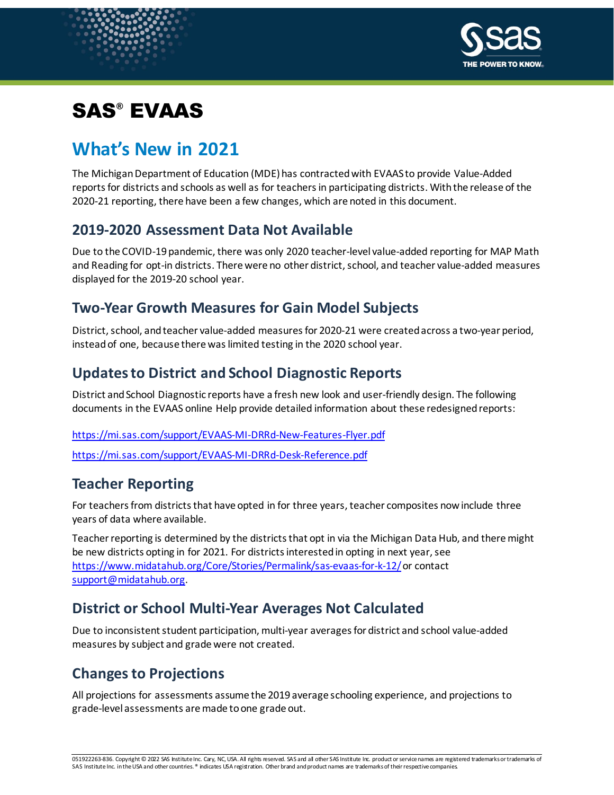

# SAS® EVAAS

# **What's New in 2021**

The Michigan Department of Education (MDE) has contracted with EVAAS to provide Value-Added reports for districts and schools as well as for teachersin participating districts. With the release of the 2020-21 reporting, there have been a few changes, which are noted in this document.

#### **2019-2020 Assessment Data Not Available**

Due to the COVID-19 pandemic, there was only 2020 teacher-level value-added reporting for MAP Math and Reading for opt-in districts. There were no other district, school, and teacher value-added measures displayed for the 2019-20 school year.

#### **Two-Year Growth Measures for Gain Model Subjects**

District, school, and teacher value-added measures for 2020-21 were created across a two-year period, instead of one, because there was limited testing in the 2020 school year.

## **Updates to District and School Diagnostic Reports**

District and School Diagnostic reports have a fresh new look and user-friendly design. The following documents in the EVAAS online Help provide detailed information about these redesigned reports:

<https://mi.sas.com/support/EVAAS-MI-DRRd-New-Features-Flyer.pdf>

<https://mi.sas.com/support/EVAAS-MI-DRRd-Desk-Reference.pdf>

## **Teacher Reporting**

For teachers from districts that have opted in for three years, teacher composites now include three years of data where available.

Teacher reporting is determined by the districts that opt in via the Michigan Data Hub, and there might be new districts opting in for 2021. For districts interested in opting in next year, see <https://www.midatahub.org/Core/Stories/Permalink/sas-evaas-for-k-12/>or contact [support@midatahub.org.](mailto:support@midatahub.org)

#### **District or School Multi-Year Averages Not Calculated**

Due to inconsistent student participation, multi-year averages for district and school value-added measures by subject and grade were not created.

# **Changes to Projections**

All projections for assessments assume the 2019 average schooling experience, and projections to grade-level assessments are made to one grade out.